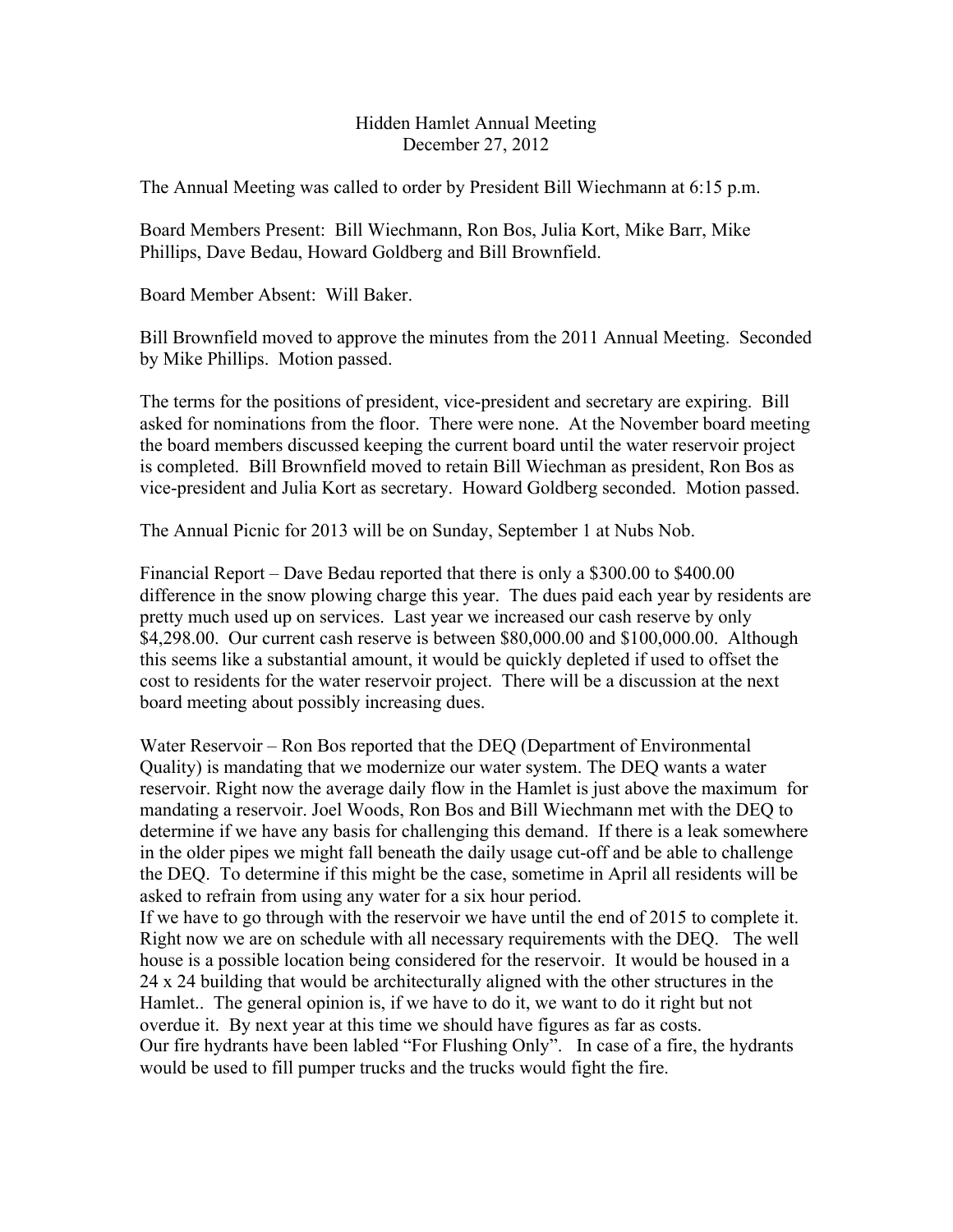## Hidden Hamlet Annual Meeting December 27, 2012

The Annual Meeting was called to order by President Bill Wiechmann at 6:15 p.m.

Board Members Present: Bill Wiechmann, Ron Bos, Julia Kort, Mike Barr, Mike Phillips, Dave Bedau, Howard Goldberg and Bill Brownfield.

Board Member Absent: Will Baker.

Bill Brownfield moved to approve the minutes from the 2011 Annual Meeting. Seconded by Mike Phillips. Motion passed.

The terms for the positions of president, vice-president and secretary are expiring. Bill asked for nominations from the floor. There were none. At the November board meeting the board members discussed keeping the current board until the water reservoir project is completed. Bill Brownfield moved to retain Bill Wiechman as president, Ron Bos as vice-president and Julia Kort as secretary. Howard Goldberg seconded. Motion passed.

The Annual Picnic for 2013 will be on Sunday, September 1 at Nubs Nob.

Financial Report – Dave Bedau reported that there is only a \$300.00 to \$400.00 difference in the snow plowing charge this year. The dues paid each year by residents are pretty much used up on services. Last year we increased our cash reserve by only \$4,298.00. Our current cash reserve is between \$80,000.00 and \$100,000.00. Although this seems like a substantial amount, it would be quickly depleted if used to offset the cost to residents for the water reservoir project. There will be a discussion at the next board meeting about possibly increasing dues.

Water Reservoir – Ron Bos reported that the DEQ (Department of Environmental Quality) is mandating that we modernize our water system. The DEQ wants a water reservoir. Right now the average daily flow in the Hamlet is just above the maximum for mandating a reservoir. Joel Woods, Ron Bos and Bill Wiechmann met with the DEQ to determine if we have any basis for challenging this demand. If there is a leak somewhere in the older pipes we might fall beneath the daily usage cut-off and be able to challenge the DEQ. To determine if this might be the case, sometime in April all residents will be asked to refrain from using any water for a six hour period.

If we have to go through with the reservoir we have until the end of 2015 to complete it. Right now we are on schedule with all necessary requirements with the DEQ. The well house is a possible location being considered for the reservoir. It would be housed in a 24 x 24 building that would be architecturally aligned with the other structures in the Hamlet.. The general opinion is, if we have to do it, we want to do it right but not overdue it. By next year at this time we should have figures as far as costs. Our fire hydrants have been labled "For Flushing Only". In case of a fire, the hydrants would be used to fill pumper trucks and the trucks would fight the fire.